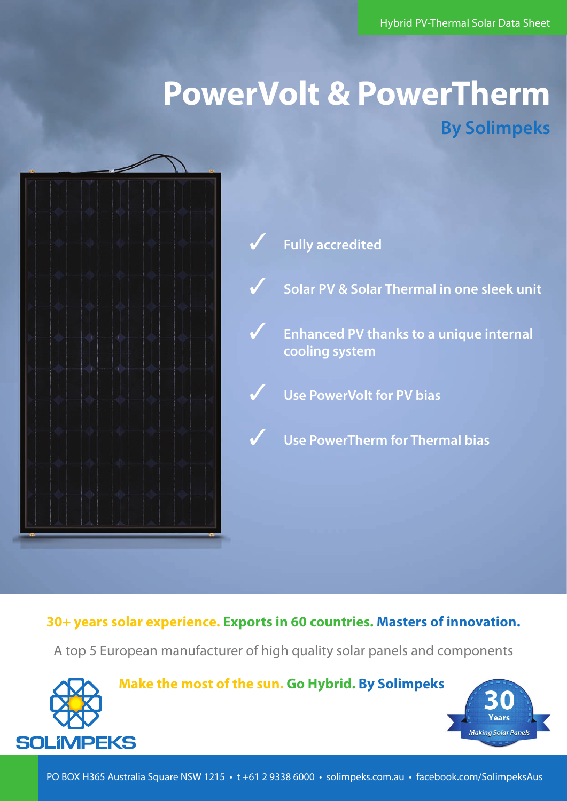# **PowerVolt & PowerTherm By Solimpeks**



3 **Fully accredited**

3 **Solar PV & Solar Thermal in one sleek unit**

3 **Enhanced PV thanks to a unique internal cooling system**

3 **Use PowerVolt for PV bias** 

3 **Use PowerTherm for Thermal bias**

### **30+ years solar experience. Exports in 60 countries. Masters of innovation.**

A top 5 European manufacturer of high quality solar panels and components



**Make the most of the sun. Go Hybrid. By Solimpeks.**